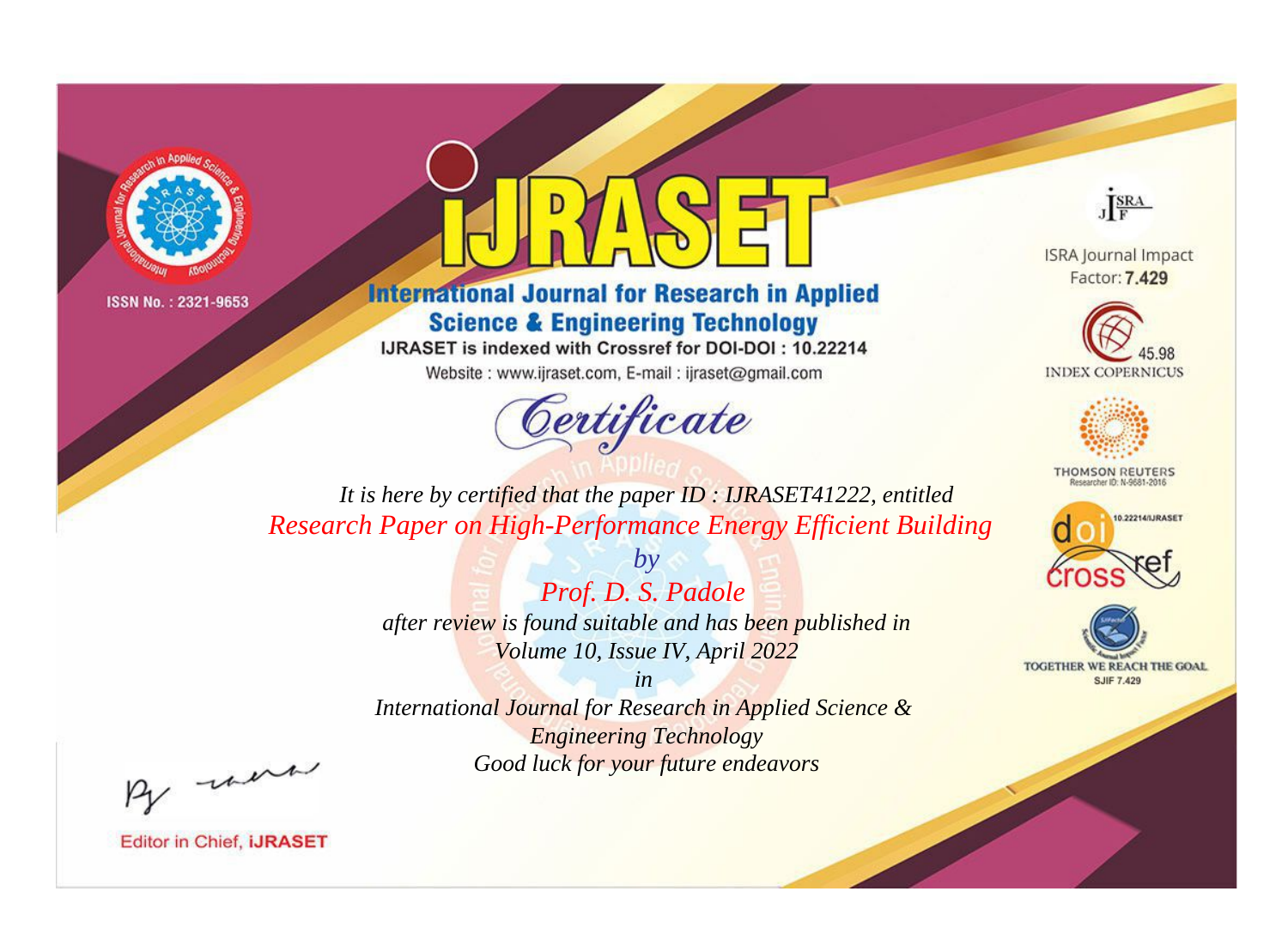



**International Journal for Research in Applied Science & Engineering Technology** 

IJRASET is indexed with Crossref for DOI-DOI: 10.22214

Website: www.ijraset.com, E-mail: ijraset@gmail.com



JERA

**ISRA Journal Impact** Factor: 7.429





**THOMSON REUTERS** 



TOGETHER WE REACH THE GOAL **SJIF 7.429** 

*It is here by certified that the paper ID : IJRASET41222, entitled Research Paper on High-Performance Energy Efficient Building*

> *Prof. D. S. Padole after review is found suitable and has been published in Volume 10, Issue IV, April 2022*

*by*

*in International Journal for Research in Applied Science & Engineering Technology Good luck for your future endeavors*

By morn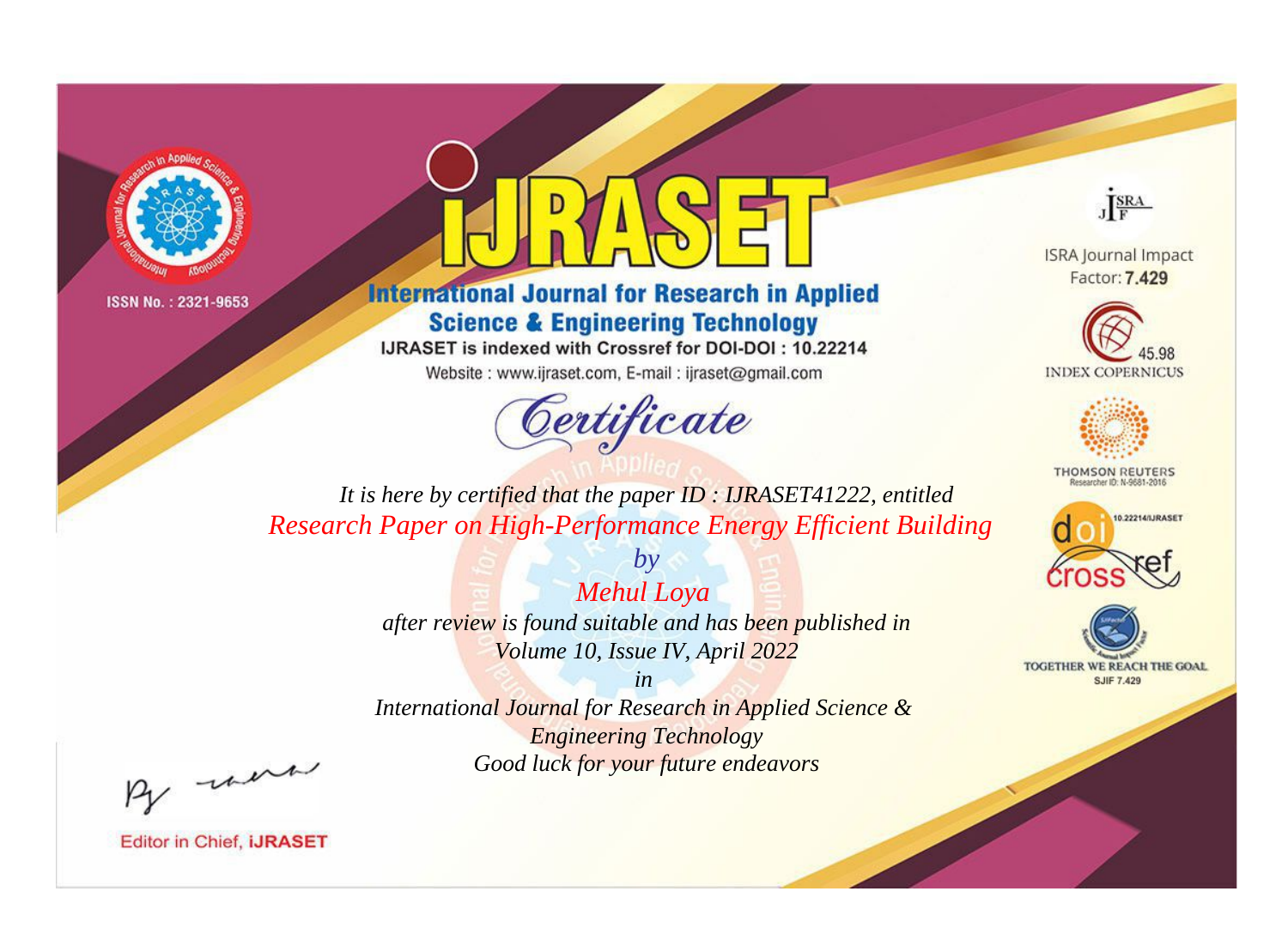



**International Journal for Research in Applied Science & Engineering Technology** 

IJRASET is indexed with Crossref for DOI-DOI: 10.22214

Website: www.ijraset.com, E-mail: ijraset@gmail.com



JERA

**ISRA Journal Impact** Factor: 7.429





**THOMSON REUTERS** 



TOGETHER WE REACH THE GOAL **SJIF 7.429** 

*It is here by certified that the paper ID : IJRASET41222, entitled Research Paper on High-Performance Energy Efficient Building*

> *Mehul Loya after review is found suitable and has been published in Volume 10, Issue IV, April 2022*

*by*

*in* 

*International Journal for Research in Applied Science & Engineering Technology Good luck for your future endeavors*

By morn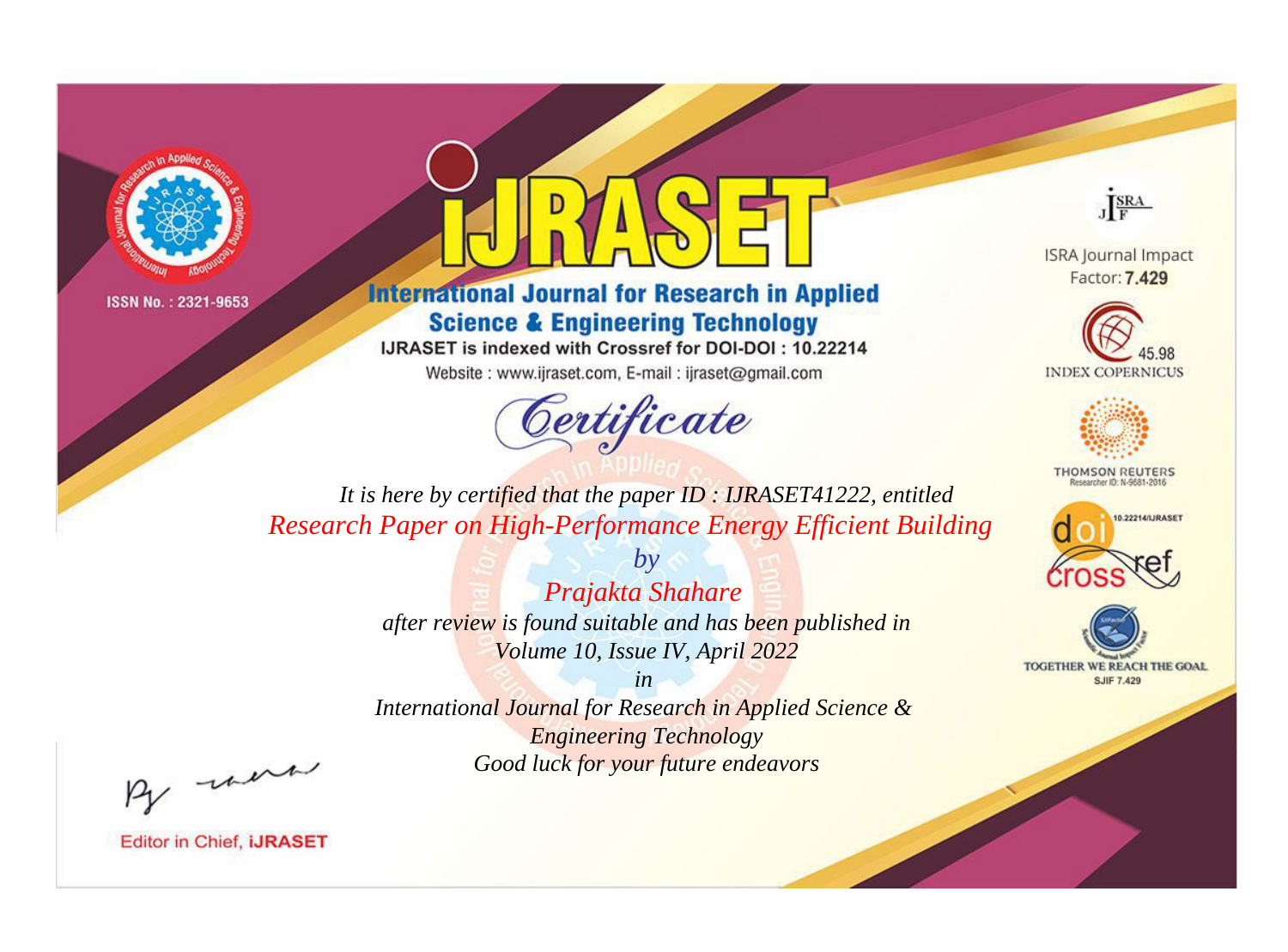



**International Journal for Research in Applied Science & Engineering Technology** 

IJRASET is indexed with Crossref for DOI-DOI: 10.22214

Website: www.ijraset.com, E-mail: ijraset@gmail.com



JERA

**ISRA Journal Impact** Factor: 7.429





**THOMSON REUTERS** 



TOGETHER WE REACH THE GOAL **SJIF 7.429** 

*It is here by certified that the paper ID : IJRASET41222, entitled Research Paper on High-Performance Energy Efficient Building*

> *Prajakta Shahare after review is found suitable and has been published in Volume 10, Issue IV, April 2022*

*by*

*in* 

*International Journal for Research in Applied Science & Engineering Technology Good luck for your future endeavors*

By morn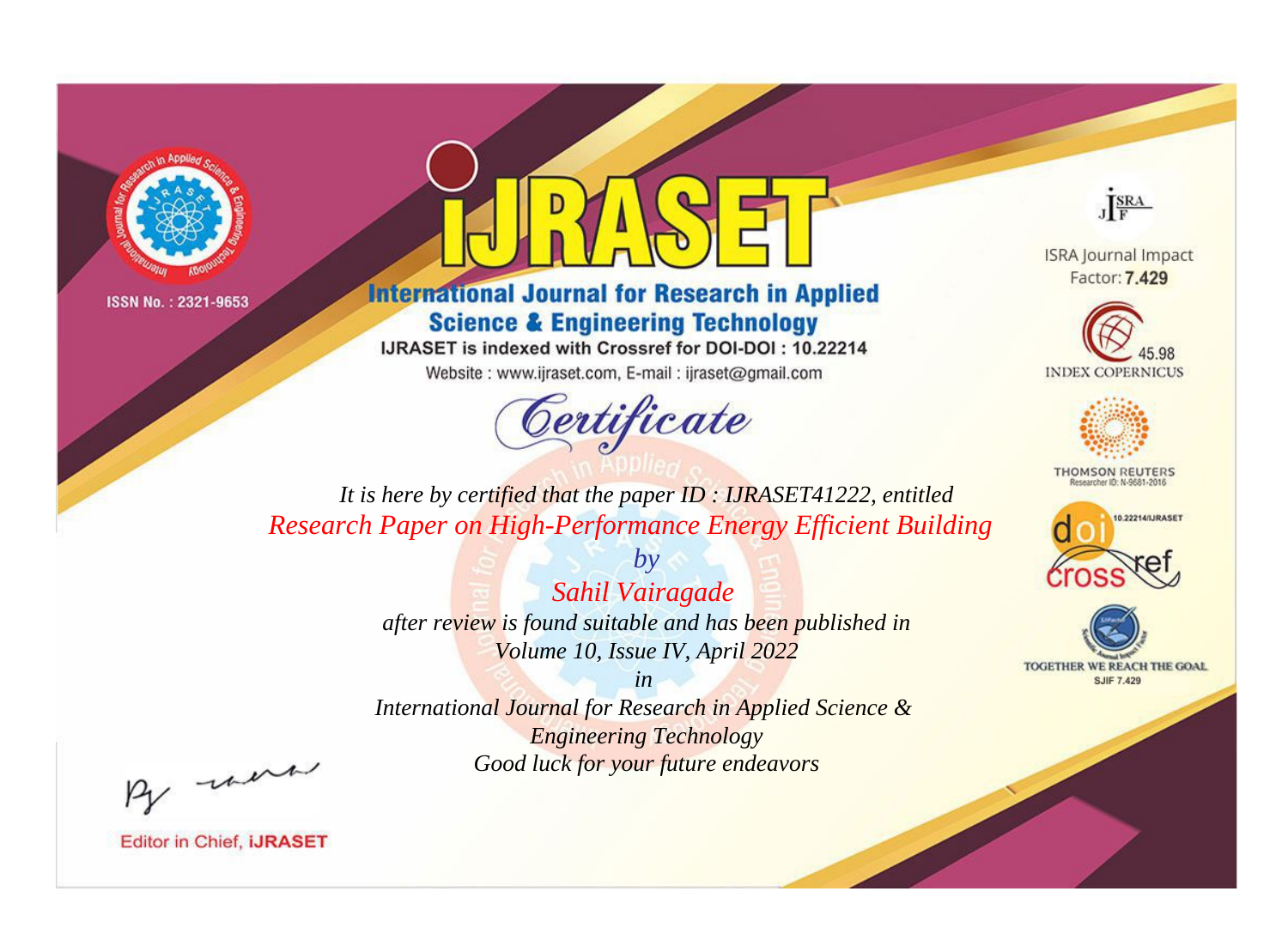



**International Journal for Research in Applied Science & Engineering Technology** 

IJRASET is indexed with Crossref for DOI-DOI: 10.22214

Website: www.ijraset.com, E-mail: ijraset@gmail.com



JERA

**ISRA Journal Impact** Factor: 7.429





**THOMSON REUTERS** 



TOGETHER WE REACH THE GOAL **SJIF 7.429** 

*It is here by certified that the paper ID : IJRASET41222, entitled Research Paper on High-Performance Energy Efficient Building*

> *Sahil Vairagade after review is found suitable and has been published in Volume 10, Issue IV, April 2022*

*by*

*in* 

*International Journal for Research in Applied Science & Engineering Technology Good luck for your future endeavors*

By morn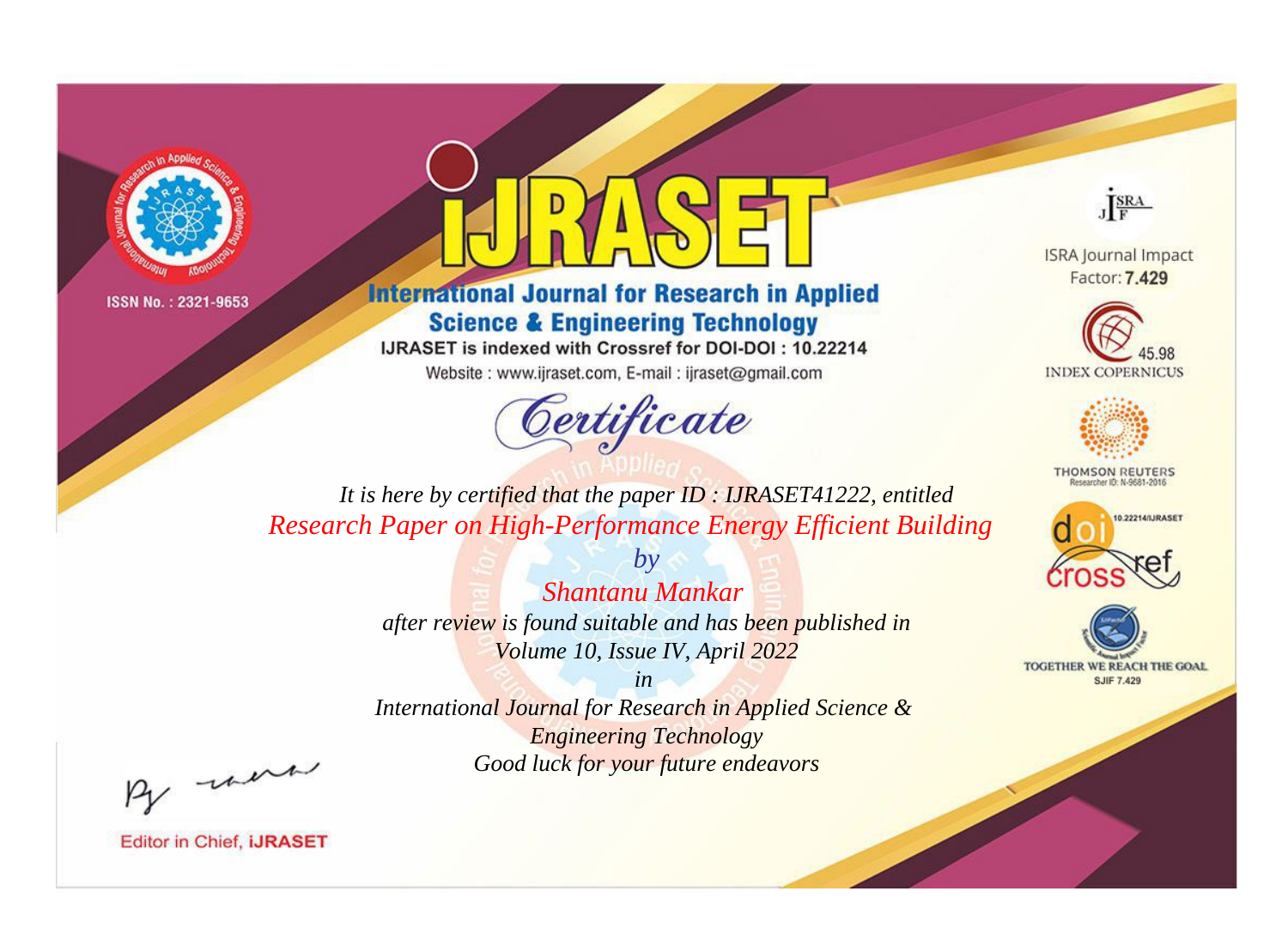



**International Journal for Research in Applied Science & Engineering Technology** 

IJRASET is indexed with Crossref for DOI-DOI: 10.22214

Website: www.ijraset.com, E-mail: ijraset@gmail.com



JERA

**ISRA Journal Impact** Factor: 7.429





**THOMSON REUTERS** 



TOGETHER WE REACH THE GOAL **SJIF 7.429** 

*It is here by certified that the paper ID : IJRASET41222, entitled Research Paper on High-Performance Energy Efficient Building*

> *Shantanu Mankar after review is found suitable and has been published in Volume 10, Issue IV, April 2022*

*by*

*in* 

*International Journal for Research in Applied Science & Engineering Technology Good luck for your future endeavors*

By morn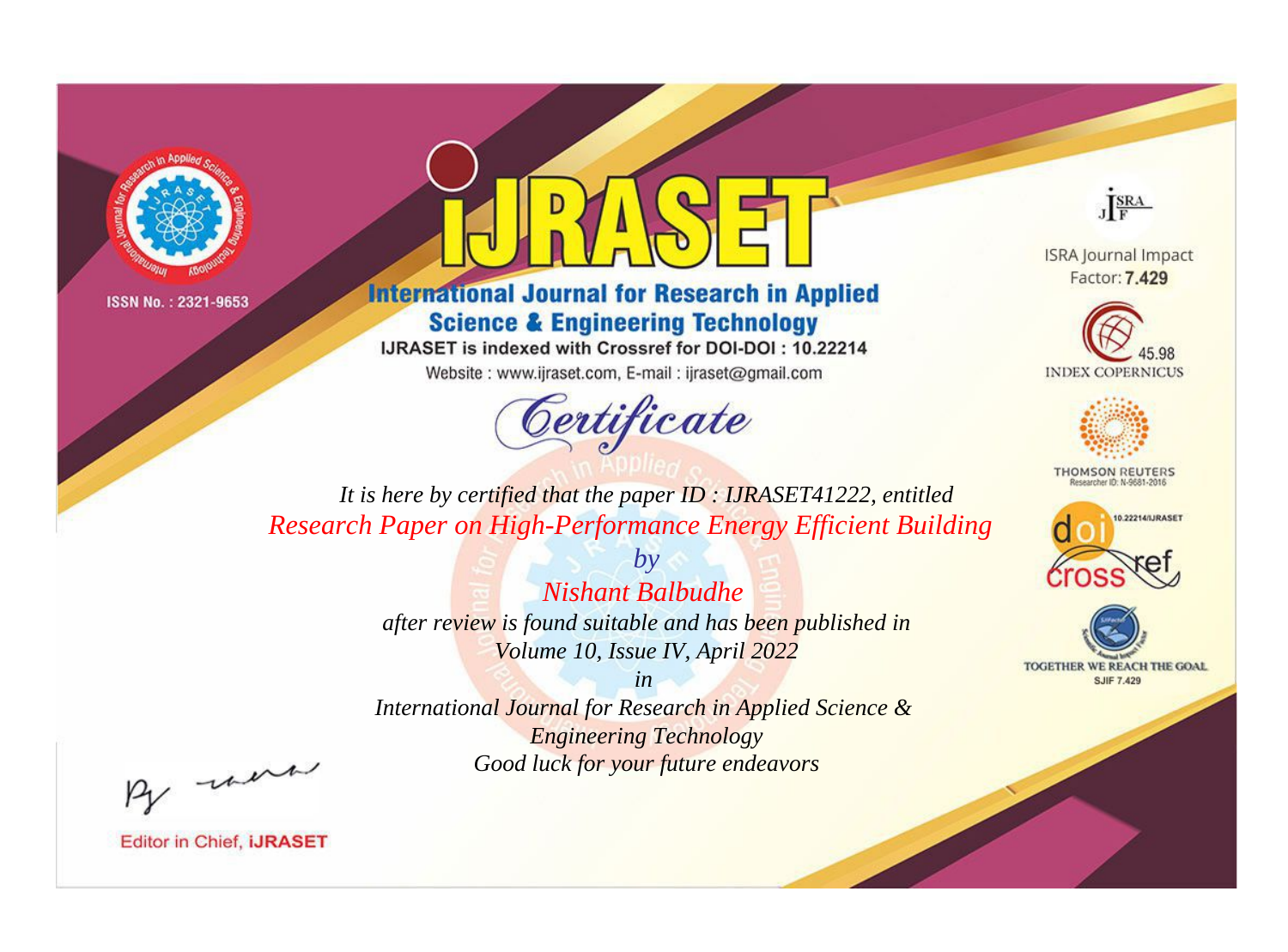



**International Journal for Research in Applied Science & Engineering Technology** 

IJRASET is indexed with Crossref for DOI-DOI: 10.22214

Website: www.ijraset.com, E-mail: ijraset@gmail.com



JERA

**ISRA Journal Impact** Factor: 7.429





**THOMSON REUTERS** 



TOGETHER WE REACH THE GOAL **SJIF 7.429** 

*It is here by certified that the paper ID : IJRASET41222, entitled Research Paper on High-Performance Energy Efficient Building*

> *Nishant Balbudhe after review is found suitable and has been published in Volume 10, Issue IV, April 2022*

*by*

*in* 

*International Journal for Research in Applied Science & Engineering Technology Good luck for your future endeavors*

By morn